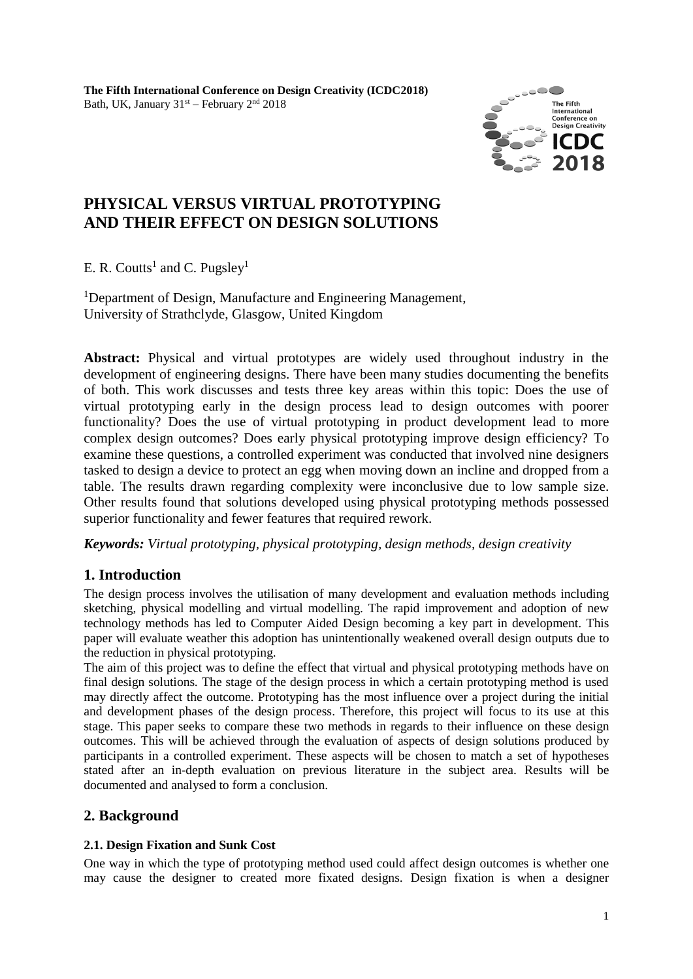

# **PHYSICAL VERSUS VIRTUAL PROTOTYPING AND THEIR EFFECT ON DESIGN SOLUTIONS**

E. R. Coutts<sup>1</sup> and C. Pugsley<sup>1</sup>

<sup>1</sup>Department of Design, Manufacture and Engineering Management, University of Strathclyde, Glasgow, United Kingdom

**Abstract:** Physical and virtual prototypes are widely used throughout industry in the development of engineering designs. There have been many studies documenting the benefits of both. This work discusses and tests three key areas within this topic: Does the use of virtual prototyping early in the design process lead to design outcomes with poorer functionality? Does the use of virtual prototyping in product development lead to more complex design outcomes? Does early physical prototyping improve design efficiency? To examine these questions, a controlled experiment was conducted that involved nine designers tasked to design a device to protect an egg when moving down an incline and dropped from a table. The results drawn regarding complexity were inconclusive due to low sample size. Other results found that solutions developed using physical prototyping methods possessed superior functionality and fewer features that required rework.

*Keywords: Virtual prototyping, physical prototyping, design methods, design creativity*

# **1. Introduction**

The design process involves the utilisation of many development and evaluation methods including sketching, physical modelling and virtual modelling. The rapid improvement and adoption of new technology methods has led to Computer Aided Design becoming a key part in development. This paper will evaluate weather this adoption has unintentionally weakened overall design outputs due to the reduction in physical prototyping.

The aim of this project was to define the effect that virtual and physical prototyping methods have on final design solutions*.* The stage of the design process in which a certain prototyping method is used may directly affect the outcome. Prototyping has the most influence over a project during the initial and development phases of the design process. Therefore, this project will focus to its use at this stage. This paper seeks to compare these two methods in regards to their influence on these design outcomes. This will be achieved through the evaluation of aspects of design solutions produced by participants in a controlled experiment. These aspects will be chosen to match a set of hypotheses stated after an in-depth evaluation on previous literature in the subject area. Results will be documented and analysed to form a conclusion.

# **2. Background**

# **2.1. Design Fixation and Sunk Cost**

One way in which the type of prototyping method used could affect design outcomes is whether one may cause the designer to created more fixated designs. Design fixation is when a designer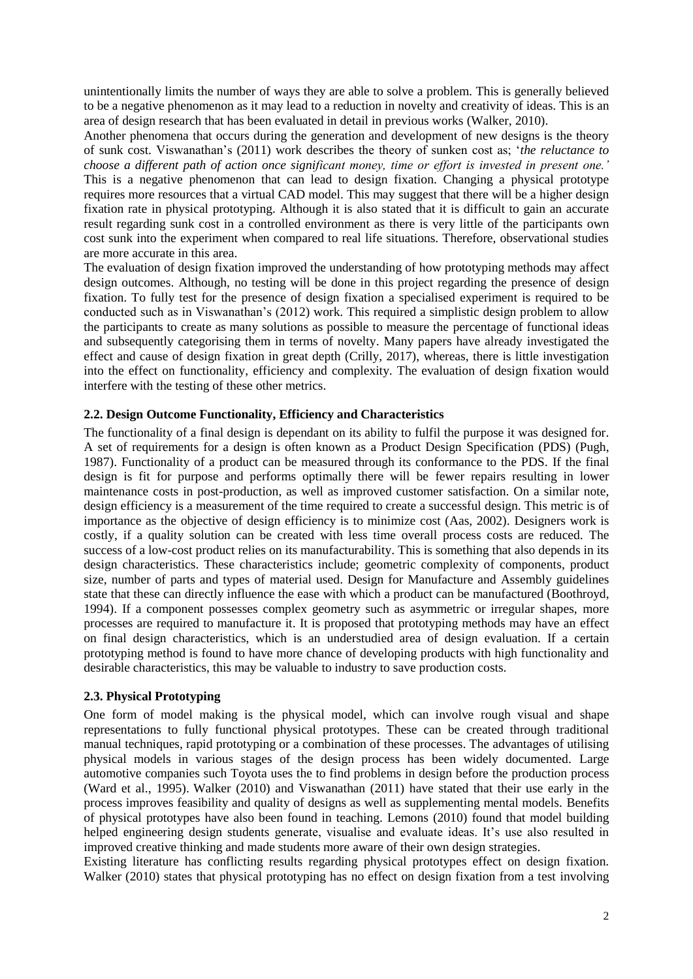unintentionally limits the number of ways they are able to solve a problem. This is generally believed to be a negative phenomenon as it may lead to a reduction in novelty and creativity of ideas. This is an area of design research that has been evaluated in detail in previous works (Walker, 2010).

Another phenomena that occurs during the generation and development of new designs is the theory of sunk cost. Viswanathan's (2011) work describes the theory of sunken cost as; '*the reluctance to choose a different path of action once significant money, time or effort is invested in present one.'* This is a negative phenomenon that can lead to design fixation. Changing a physical prototype requires more resources that a virtual CAD model. This may suggest that there will be a higher design fixation rate in physical prototyping. Although it is also stated that it is difficult to gain an accurate result regarding sunk cost in a controlled environment as there is very little of the participants own cost sunk into the experiment when compared to real life situations. Therefore, observational studies are more accurate in this area.

The evaluation of design fixation improved the understanding of how prototyping methods may affect design outcomes. Although, no testing will be done in this project regarding the presence of design fixation. To fully test for the presence of design fixation a specialised experiment is required to be conducted such as in Viswanathan's (2012) work. This required a simplistic design problem to allow the participants to create as many solutions as possible to measure the percentage of functional ideas and subsequently categorising them in terms of novelty. Many papers have already investigated the effect and cause of design fixation in great depth (Crilly, 2017), whereas, there is little investigation into the effect on functionality, efficiency and complexity. The evaluation of design fixation would interfere with the testing of these other metrics.

### **2.2. Design Outcome Functionality, Efficiency and Characteristics**

The functionality of a final design is dependant on its ability to fulfil the purpose it was designed for. A set of requirements for a design is often known as a Product Design Specification (PDS) (Pugh, 1987). Functionality of a product can be measured through its conformance to the PDS. If the final design is fit for purpose and performs optimally there will be fewer repairs resulting in lower maintenance costs in post-production, as well as improved customer satisfaction. On a similar note, design efficiency is a measurement of the time required to create a successful design. This metric is of importance as the objective of design efficiency is to minimize cost (Aas, 2002). Designers work is costly, if a quality solution can be created with less time overall process costs are reduced. The success of a low-cost product relies on its manufacturability. This is something that also depends in its design characteristics. These characteristics include; geometric complexity of components, product size, number of parts and types of material used. Design for Manufacture and Assembly guidelines state that these can directly influence the ease with which a product can be manufactured (Boothroyd, 1994). If a component possesses complex geometry such as asymmetric or irregular shapes, more processes are required to manufacture it. It is proposed that prototyping methods may have an effect on final design characteristics, which is an understudied area of design evaluation. If a certain prototyping method is found to have more chance of developing products with high functionality and desirable characteristics, this may be valuable to industry to save production costs.

#### **2.3. Physical Prototyping**

One form of model making is the physical model, which can involve rough visual and shape representations to fully functional physical prototypes. These can be created through traditional manual techniques, rapid prototyping or a combination of these processes. The advantages of utilising physical models in various stages of the design process has been widely documented. Large automotive companies such Toyota uses the to find problems in design before the production process (Ward et al., 1995). Walker (2010) and Viswanathan (2011) have stated that their use early in the process improves feasibility and quality of designs as well as supplementing mental models. Benefits of physical prototypes have also been found in teaching. Lemons (2010) found that model building helped engineering design students generate, visualise and evaluate ideas. It's use also resulted in improved creative thinking and made students more aware of their own design strategies.

Existing literature has conflicting results regarding physical prototypes effect on design fixation. Walker (2010) states that physical prototyping has no effect on design fixation from a test involving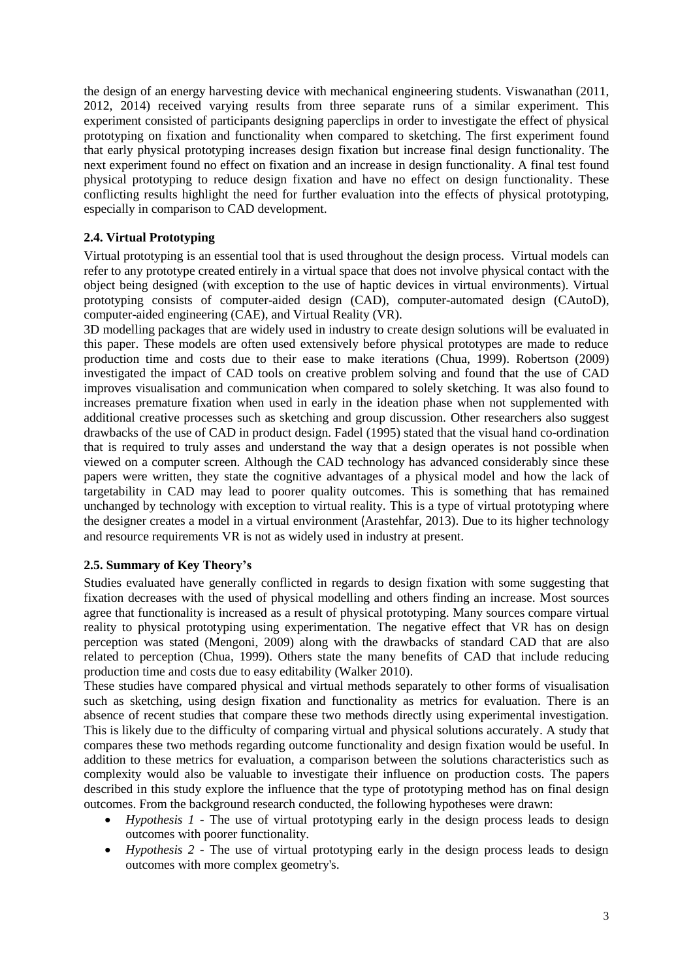the design of an energy harvesting device with mechanical engineering students. Viswanathan (2011, 2012, 2014) received varying results from three separate runs of a similar experiment. This experiment consisted of participants designing paperclips in order to investigate the effect of physical prototyping on fixation and functionality when compared to sketching. The first experiment found that early physical prototyping increases design fixation but increase final design functionality. The next experiment found no effect on fixation and an increase in design functionality. A final test found physical prototyping to reduce design fixation and have no effect on design functionality. These conflicting results highlight the need for further evaluation into the effects of physical prototyping, especially in comparison to CAD development.

### **2.4. Virtual Prototyping**

Virtual prototyping is an essential tool that is used throughout the design process. Virtual models can refer to any prototype created entirely in a virtual space that does not involve physical contact with the object being designed (with exception to the use of haptic devices in virtual environments). Virtual prototyping consists of computer-aided design (CAD), computer-automated design (CAutoD), computer-aided engineering (CAE), and Virtual Reality (VR).

3D modelling packages that are widely used in industry to create design solutions will be evaluated in this paper. These models are often used extensively before physical prototypes are made to reduce production time and costs due to their ease to make iterations (Chua, 1999). Robertson (2009) investigated the impact of CAD tools on creative problem solving and found that the use of CAD improves visualisation and communication when compared to solely sketching. It was also found to increases premature fixation when used in early in the ideation phase when not supplemented with additional creative processes such as sketching and group discussion. Other researchers also suggest drawbacks of the use of CAD in product design. Fadel (1995) stated that the visual hand co-ordination that is required to truly asses and understand the way that a design operates is not possible when viewed on a computer screen. Although the CAD technology has advanced considerably since these papers were written, they state the cognitive advantages of a physical model and how the lack of targetability in CAD may lead to poorer quality outcomes. This is something that has remained unchanged by technology with exception to virtual reality. This is a type of virtual prototyping where the designer creates a model in a virtual environment (Arastehfar, 2013). Due to its higher technology and resource requirements VR is not as widely used in industry at present.

#### **2.5. Summary of Key Theory's**

Studies evaluated have generally conflicted in regards to design fixation with some suggesting that fixation decreases with the used of physical modelling and others finding an increase. Most sources agree that functionality is increased as a result of physical prototyping. Many sources compare virtual reality to physical prototyping using experimentation. The negative effect that VR has on design perception was stated (Mengoni, 2009) along with the drawbacks of standard CAD that are also related to perception (Chua, 1999). Others state the many benefits of CAD that include reducing production time and costs due to easy editability (Walker 2010).

These studies have compared physical and virtual methods separately to other forms of visualisation such as sketching, using design fixation and functionality as metrics for evaluation. There is an absence of recent studies that compare these two methods directly using experimental investigation. This is likely due to the difficulty of comparing virtual and physical solutions accurately. A study that compares these two methods regarding outcome functionality and design fixation would be useful. In addition to these metrics for evaluation, a comparison between the solutions characteristics such as complexity would also be valuable to investigate their influence on production costs. The papers described in this study explore the influence that the type of prototyping method has on final design outcomes. From the background research conducted, the following hypotheses were drawn:

- *Hypothesis 1 -* The use of virtual prototyping early in the design process leads to design outcomes with poorer functionality.
- *Hypothesis 2 -* The use of virtual prototyping early in the design process leads to design outcomes with more complex geometry's.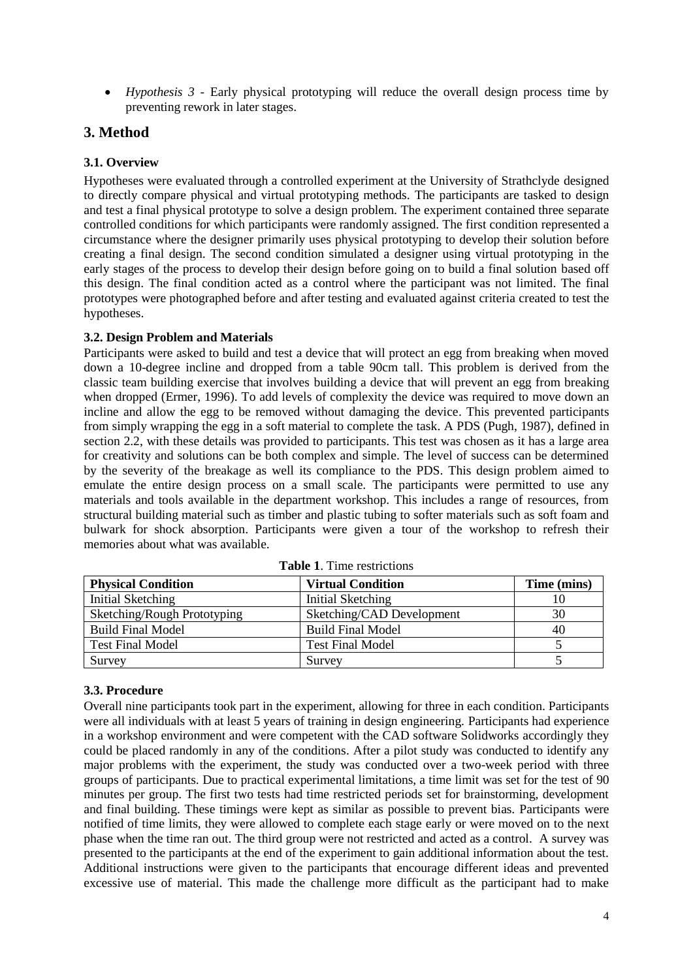• *Hypothesis 3 -* Early physical prototyping will reduce the overall design process time by preventing rework in later stages.

# **3. Method**

## **3.1. Overview**

Hypotheses were evaluated through a controlled experiment at the University of Strathclyde designed to directly compare physical and virtual prototyping methods. The participants are tasked to design and test a final physical prototype to solve a design problem. The experiment contained three separate controlled conditions for which participants were randomly assigned. The first condition represented a circumstance where the designer primarily uses physical prototyping to develop their solution before creating a final design. The second condition simulated a designer using virtual prototyping in the early stages of the process to develop their design before going on to build a final solution based off this design. The final condition acted as a control where the participant was not limited. The final prototypes were photographed before and after testing and evaluated against criteria created to test the hypotheses.

### **3.2. Design Problem and Materials**

Participants were asked to build and test a device that will protect an egg from breaking when moved down a 10-degree incline and dropped from a table 90cm tall. This problem is derived from the classic team building exercise that involves building a device that will prevent an egg from breaking when dropped (Ermer, 1996). To add levels of complexity the device was required to move down an incline and allow the egg to be removed without damaging the device. This prevented participants from simply wrapping the egg in a soft material to complete the task. A PDS (Pugh, 1987), defined in section 2.2, with these details was provided to participants. This test was chosen as it has a large area for creativity and solutions can be both complex and simple. The level of success can be determined by the severity of the breakage as well its compliance to the PDS. This design problem aimed to emulate the entire design process on a small scale. The participants were permitted to use any materials and tools available in the department workshop. This includes a range of resources, from structural building material such as timber and plastic tubing to softer materials such as soft foam and bulwark for shock absorption. Participants were given a tour of the workshop to refresh their memories about what was available.

| <b>Physical Condition</b>   | <b>Virtual Condition</b>  | Time (mins) |
|-----------------------------|---------------------------|-------------|
| Initial Sketching           | Initial Sketching         | 10          |
| Sketching/Rough Prototyping | Sketching/CAD Development | 30          |
| <b>Build Final Model</b>    | <b>Build Final Model</b>  | 40          |
| <b>Test Final Model</b>     | <b>Test Final Model</b>   |             |
| Survey                      | Survey                    |             |

**Table 1**. Time restrictions

## **3.3. Procedure**

Overall nine participants took part in the experiment, allowing for three in each condition. Participants were all individuals with at least 5 years of training in design engineering. Participants had experience in a workshop environment and were competent with the CAD software Solidworks accordingly they could be placed randomly in any of the conditions. After a pilot study was conducted to identify any major problems with the experiment, the study was conducted over a two-week period with three groups of participants. Due to practical experimental limitations, a time limit was set for the test of 90 minutes per group. The first two tests had time restricted periods set for brainstorming, development and final building. These timings were kept as similar as possible to prevent bias. Participants were notified of time limits, they were allowed to complete each stage early or were moved on to the next phase when the time ran out. The third group were not restricted and acted as a control. A survey was presented to the participants at the end of the experiment to gain additional information about the test. Additional instructions were given to the participants that encourage different ideas and prevented excessive use of material. This made the challenge more difficult as the participant had to make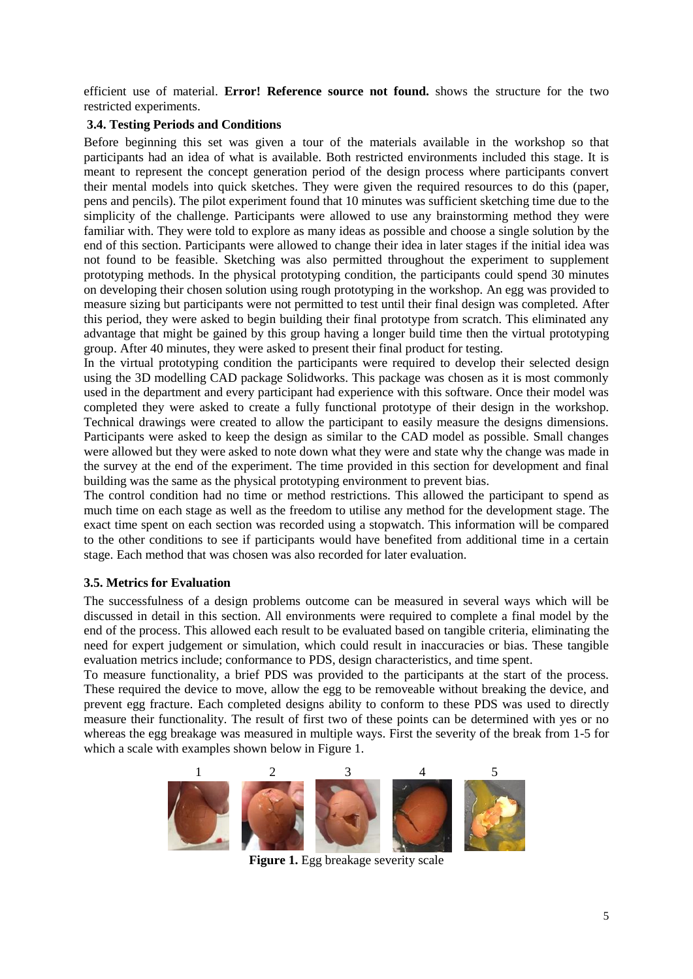efficient use of material. **Error! Reference source not found.** shows the structure for the two restricted experiments.

### **3.4. Testing Periods and Conditions**

Before beginning this set was given a tour of the materials available in the workshop so that participants had an idea of what is available. Both restricted environments included this stage. It is meant to represent the concept generation period of the design process where participants convert their mental models into quick sketches. They were given the required resources to do this (paper, pens and pencils). The pilot experiment found that 10 minutes was sufficient sketching time due to the simplicity of the challenge. Participants were allowed to use any brainstorming method they were familiar with. They were told to explore as many ideas as possible and choose a single solution by the end of this section. Participants were allowed to change their idea in later stages if the initial idea was not found to be feasible. Sketching was also permitted throughout the experiment to supplement prototyping methods. In the physical prototyping condition, the participants could spend 30 minutes on developing their chosen solution using rough prototyping in the workshop. An egg was provided to measure sizing but participants were not permitted to test until their final design was completed. After this period, they were asked to begin building their final prototype from scratch. This eliminated any advantage that might be gained by this group having a longer build time then the virtual prototyping group. After 40 minutes, they were asked to present their final product for testing.

In the virtual prototyping condition the participants were required to develop their selected design using the 3D modelling CAD package Solidworks. This package was chosen as it is most commonly used in the department and every participant had experience with this software. Once their model was completed they were asked to create a fully functional prototype of their design in the workshop. Technical drawings were created to allow the participant to easily measure the designs dimensions. Participants were asked to keep the design as similar to the CAD model as possible. Small changes were allowed but they were asked to note down what they were and state why the change was made in the survey at the end of the experiment. The time provided in this section for development and final building was the same as the physical prototyping environment to prevent bias.

The control condition had no time or method restrictions. This allowed the participant to spend as much time on each stage as well as the freedom to utilise any method for the development stage. The exact time spent on each section was recorded using a stopwatch. This information will be compared to the other conditions to see if participants would have benefited from additional time in a certain stage. Each method that was chosen was also recorded for later evaluation.

## **3.5. Metrics for Evaluation**

The successfulness of a design problems outcome can be measured in several ways which will be discussed in detail in this section. All environments were required to complete a final model by the end of the process. This allowed each result to be evaluated based on tangible criteria, eliminating the need for expert judgement or simulation, which could result in inaccuracies or bias. These tangible evaluation metrics include; conformance to PDS, design characteristics, and time spent.

To measure functionality, a brief PDS was provided to the participants at the start of the process. These required the device to move, allow the egg to be removeable without breaking the device, and prevent egg fracture. Each completed designs ability to conform to these PDS was used to directly measure their functionality. The result of first two of these points can be determined with yes or no whereas the egg breakage was measured in multiple ways. First the severity of the break from 1-5 for which a scale with examples shown below in [Figure 1.](#page-4-0)

<span id="page-4-0"></span>

**Figure 1.** Egg breakage severity scale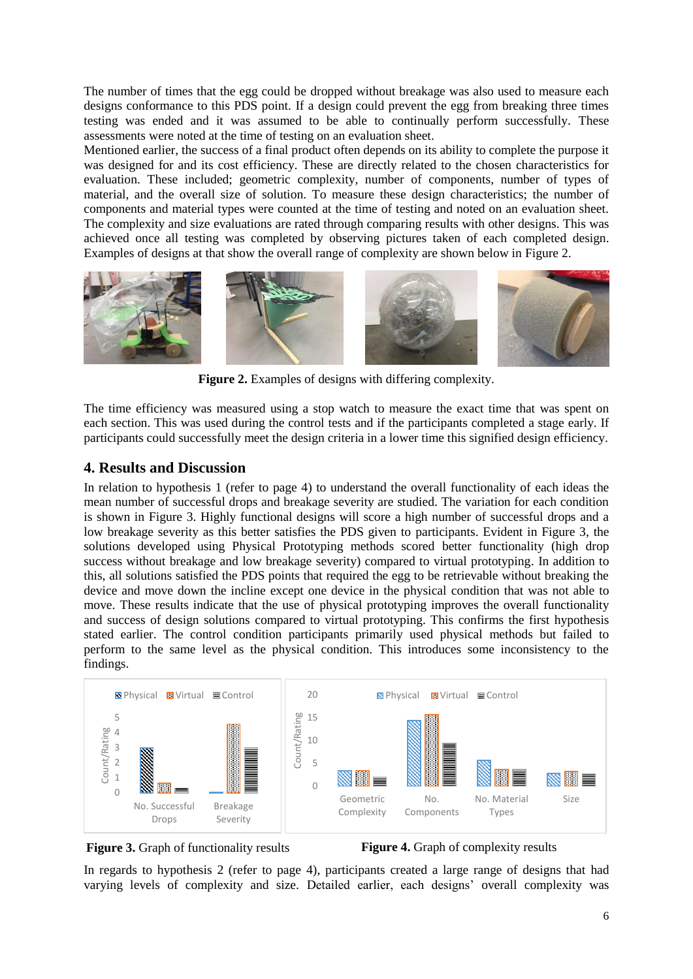The number of times that the egg could be dropped without breakage was also used to measure each designs conformance to this PDS point. If a design could prevent the egg from breaking three times testing was ended and it was assumed to be able to continually perform successfully. These assessments were noted at the time of testing on an evaluation sheet.

Mentioned earlier, the success of a final product often depends on its ability to complete the purpose it was designed for and its cost efficiency. These are directly related to the chosen characteristics for evaluation. These included; geometric complexity, number of components, number of types of material, and the overall size of solution. To measure these design characteristics; the number of components and material types were counted at the time of testing and noted on an evaluation sheet. The complexity and size evaluations are rated through comparing results with other designs. This was achieved once all testing was completed by observing pictures taken of each completed design. Examples of designs at that show the overall range of complexity are shown below in [Figure 2.](#page-5-0)



**Figure 2.** Examples of designs with differing complexity.

<span id="page-5-0"></span>The time efficiency was measured using a stop watch to measure the exact time that was spent on each section. This was used during the control tests and if the participants completed a stage early. If participants could successfully meet the design criteria in a lower time this signified design efficiency.

## **4. Results and Discussion**

In relation to hypothesis 1 (refer to page 4) to understand the overall functionality of each ideas the mean number of successful drops and breakage severity are studied. The variation for each condition is shown in [Figure 3.](#page-5-1) Highly functional designs will score a high number of successful drops and a low breakage severity as this better satisfies the PDS given to participants. Evident in [Figure 3,](#page-5-1) the solutions developed using Physical Prototyping methods scored better functionality (high drop success without breakage and low breakage severity) compared to virtual prototyping. In addition to this, all solutions satisfied the PDS points that required the egg to be retrievable without breaking the device and move down the incline except one device in the physical condition that was not able to move. These results indicate that the use of physical prototyping improves the overall functionality and success of design solutions compared to virtual prototyping. This confirms the first hypothesis stated earlier. The control condition participants primarily used physical methods but failed to perform to the same level as the physical condition. This introduces some inconsistency to the findings.



<span id="page-5-1"></span>

<span id="page-5-2"></span>**Figure 4.** Graph of complexity results

In regards to hypothesis 2 (refer to page 4), participants created a large range of designs that had varying levels of complexity and size. Detailed earlier, each designs' overall complexity was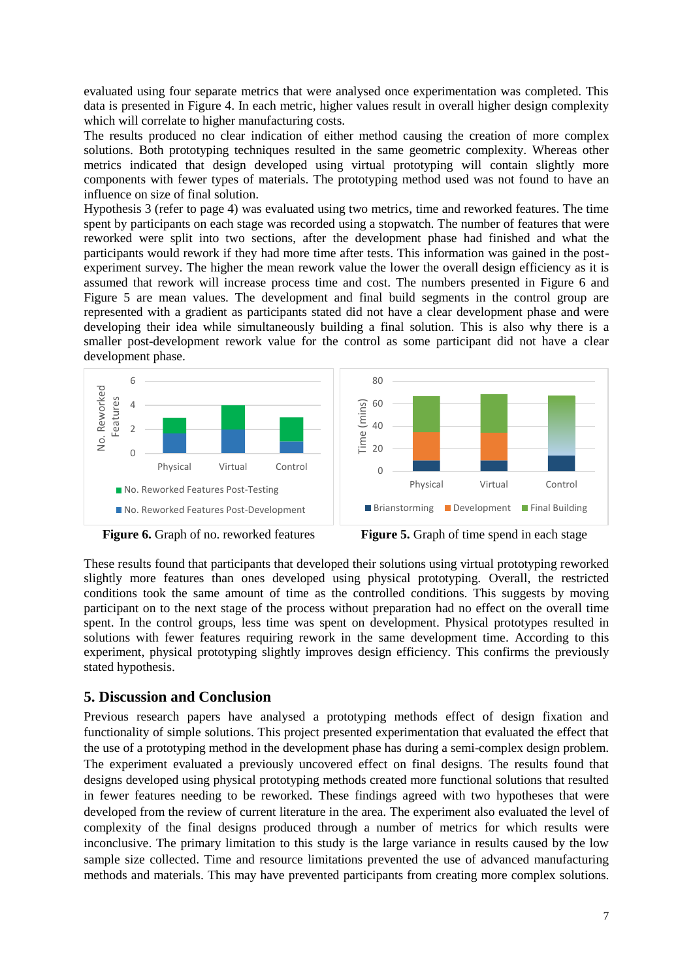evaluated using four separate metrics that were analysed once experimentation was completed. This data is presented in [Figure 4.](#page-5-2) In each metric, higher values result in overall higher design complexity which will correlate to higher manufacturing costs.

The results produced no clear indication of either method causing the creation of more complex solutions. Both prototyping techniques resulted in the same geometric complexity. Whereas other metrics indicated that design developed using virtual prototyping will contain slightly more components with fewer types of materials. The prototyping method used was not found to have an influence on size of final solution.

Hypothesis 3 (refer to page 4) was evaluated using two metrics, time and reworked features. The time spent by participants on each stage was recorded using a stopwatch. The number of features that were reworked were split into two sections, after the development phase had finished and what the participants would rework if they had more time after tests. This information was gained in the postexperiment survey. The higher the mean rework value the lower the overall design efficiency as it is assumed that rework will increase process time and cost. The numbers presented in [Figure 6](#page-6-0) and [Figure 5](#page-6-1) are mean values. The development and final build segments in the control group are represented with a gradient as participants stated did not have a clear development phase and were developing their idea while simultaneously building a final solution. This is also why there is a smaller post-development rework value for the control as some participant did not have a clear development phase.



<span id="page-6-0"></span>

<span id="page-6-1"></span>**Figure 6.** Graph of no. reworked features **Figure 5.** Graph of time spend in each stage

These results found that participants that developed their solutions using virtual prototyping reworked slightly more features than ones developed using physical prototyping. Overall, the restricted conditions took the same amount of time as the controlled conditions. This suggests by moving participant on to the next stage of the process without preparation had no effect on the overall time spent. In the control groups, less time was spent on development. Physical prototypes resulted in solutions with fewer features requiring rework in the same development time. According to this experiment, physical prototyping slightly improves design efficiency. This confirms the previously stated hypothesis.

# **5. Discussion and Conclusion**

Previous research papers have analysed a prototyping methods effect of design fixation and functionality of simple solutions. This project presented experimentation that evaluated the effect that the use of a prototyping method in the development phase has during a semi-complex design problem. The experiment evaluated a previously uncovered effect on final designs. The results found that designs developed using physical prototyping methods created more functional solutions that resulted in fewer features needing to be reworked. These findings agreed with two hypotheses that were developed from the review of current literature in the area. The experiment also evaluated the level of complexity of the final designs produced through a number of metrics for which results were inconclusive. The primary limitation to this study is the large variance in results caused by the low sample size collected. Time and resource limitations prevented the use of advanced manufacturing methods and materials. This may have prevented participants from creating more complex solutions.